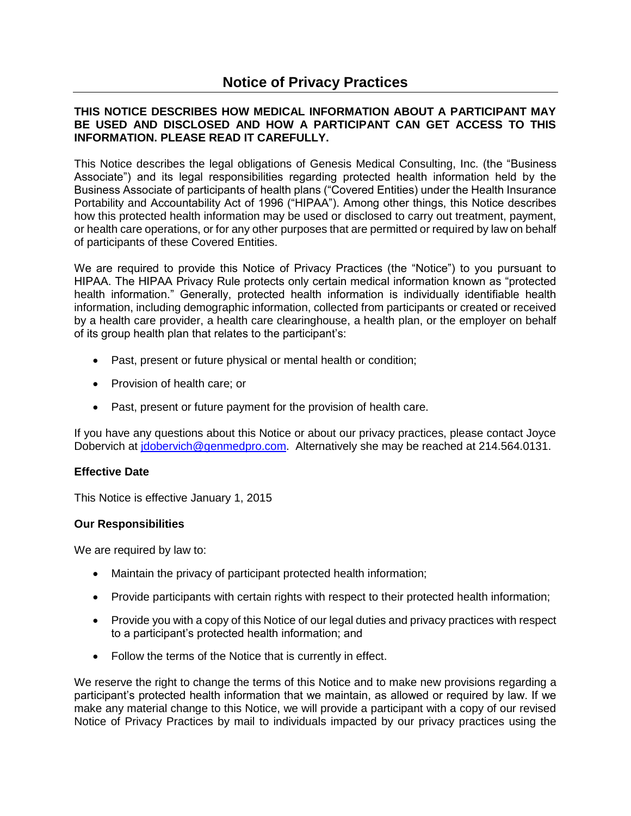# **THIS NOTICE DESCRIBES HOW MEDICAL INFORMATION ABOUT A PARTICIPANT MAY BE USED AND DISCLOSED AND HOW A PARTICIPANT CAN GET ACCESS TO THIS INFORMATION. PLEASE READ IT CAREFULLY.**

This Notice describes the legal obligations of Genesis Medical Consulting, Inc. (the "Business Associate") and its legal responsibilities regarding protected health information held by the Business Associate of participants of health plans ("Covered Entities) under the Health Insurance Portability and Accountability Act of 1996 ("HIPAA"). Among other things, this Notice describes how this protected health information may be used or disclosed to carry out treatment, payment, or health care operations, or for any other purposes that are permitted or required by law on behalf of participants of these Covered Entities.

We are required to provide this Notice of Privacy Practices (the "Notice") to you pursuant to HIPAA. The HIPAA Privacy Rule protects only certain medical information known as "protected health information." Generally, protected health information is individually identifiable health information, including demographic information, collected from participants or created or received by a health care provider, a health care clearinghouse, a health plan, or the employer on behalf of its group health plan that relates to the participant's:

- Past, present or future physical or mental health or condition;
- Provision of health care; or
- Past, present or future payment for the provision of health care.

If you have any questions about this Notice or about our privacy practices, please contact Joyce Dobervich at [jdobervich@genmedpro.com.](mailto:jdobervich@genmedpro.com) Alternatively she may be reached at 214.564.0131.

# **Effective Date**

This Notice is effective January 1, 2015

# **Our Responsibilities**

We are required by law to:

- Maintain the privacy of participant protected health information;
- Provide participants with certain rights with respect to their protected health information;
- Provide you with a copy of this Notice of our legal duties and privacy practices with respect to a participant's protected health information; and
- Follow the terms of the Notice that is currently in effect.

We reserve the right to change the terms of this Notice and to make new provisions regarding a participant's protected health information that we maintain, as allowed or required by law. If we make any material change to this Notice, we will provide a participant with a copy of our revised Notice of Privacy Practices by mail to individuals impacted by our privacy practices using the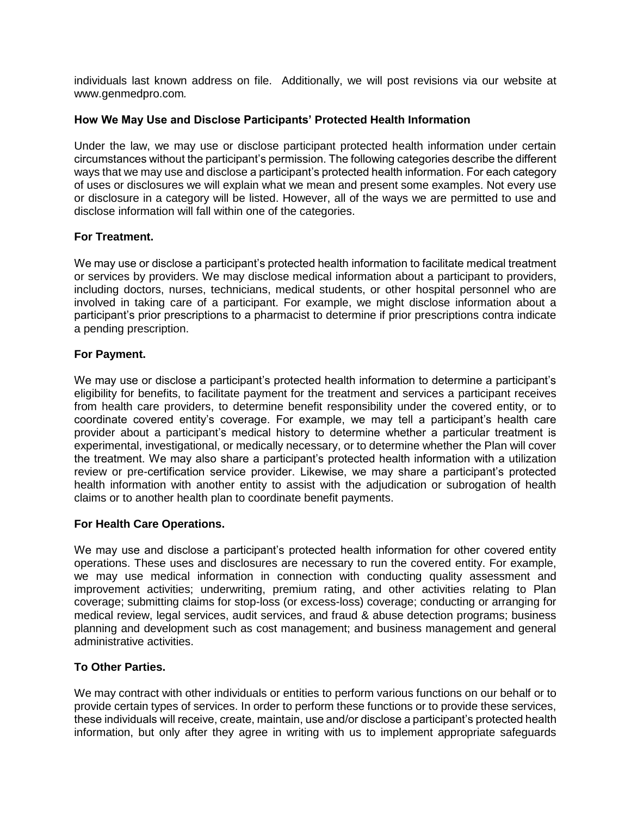individuals last known address on file. Additionally, we will post revisions via our website at www.genmedpro.com*.*

## **How We May Use and Disclose Participants' Protected Health Information**

Under the law, we may use or disclose participant protected health information under certain circumstances without the participant's permission. The following categories describe the different ways that we may use and disclose a participant's protected health information. For each category of uses or disclosures we will explain what we mean and present some examples. Not every use or disclosure in a category will be listed. However, all of the ways we are permitted to use and disclose information will fall within one of the categories.

## **For Treatment.**

We may use or disclose a participant's protected health information to facilitate medical treatment or services by providers. We may disclose medical information about a participant to providers, including doctors, nurses, technicians, medical students, or other hospital personnel who are involved in taking care of a participant. For example, we might disclose information about a participant's prior prescriptions to a pharmacist to determine if prior prescriptions contra indicate a pending prescription.

## **For Payment.**

We may use or disclose a participant's protected health information to determine a participant's eligibility for benefits, to facilitate payment for the treatment and services a participant receives from health care providers, to determine benefit responsibility under the covered entity, or to coordinate covered entity's coverage. For example, we may tell a participant's health care provider about a participant's medical history to determine whether a particular treatment is experimental, investigational, or medically necessary, or to determine whether the Plan will cover the treatment. We may also share a participant's protected health information with a utilization review or pre-certification service provider. Likewise, we may share a participant's protected health information with another entity to assist with the adjudication or subrogation of health claims or to another health plan to coordinate benefit payments.

### **For Health Care Operations.**

We may use and disclose a participant's protected health information for other covered entity operations. These uses and disclosures are necessary to run the covered entity. For example, we may use medical information in connection with conducting quality assessment and improvement activities; underwriting, premium rating, and other activities relating to Plan coverage; submitting claims for stop-loss (or excess-loss) coverage; conducting or arranging for medical review, legal services, audit services, and fraud & abuse detection programs; business planning and development such as cost management; and business management and general administrative activities.

# **To Other Parties.**

We may contract with other individuals or entities to perform various functions on our behalf or to provide certain types of services. In order to perform these functions or to provide these services, these individuals will receive, create, maintain, use and/or disclose a participant's protected health information, but only after they agree in writing with us to implement appropriate safeguards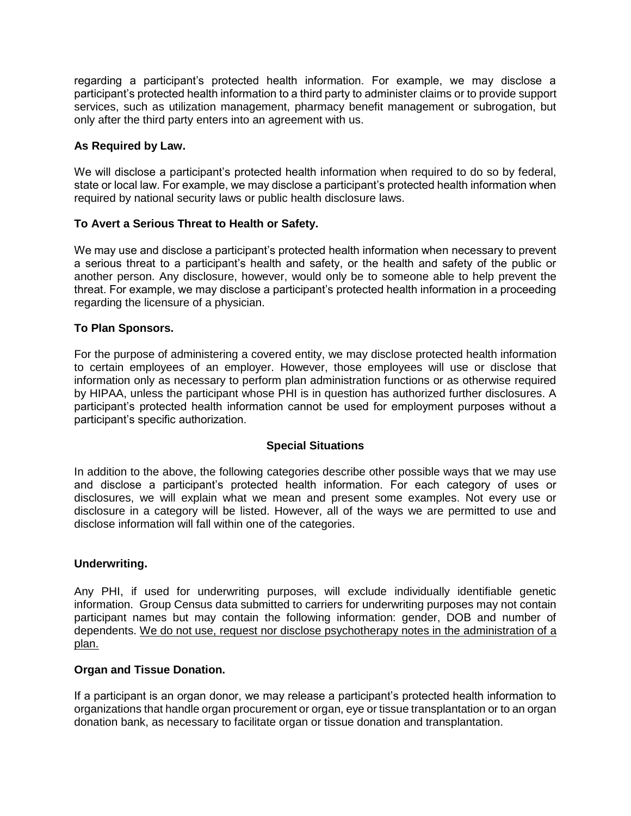regarding a participant's protected health information. For example, we may disclose a participant's protected health information to a third party to administer claims or to provide support services, such as utilization management, pharmacy benefit management or subrogation, but only after the third party enters into an agreement with us.

# **As Required by Law.**

We will disclose a participant's protected health information when required to do so by federal, state or local law. For example, we may disclose a participant's protected health information when required by national security laws or public health disclosure laws.

## **To Avert a Serious Threat to Health or Safety.**

We may use and disclose a participant's protected health information when necessary to prevent a serious threat to a participant's health and safety, or the health and safety of the public or another person. Any disclosure, however, would only be to someone able to help prevent the threat. For example, we may disclose a participant's protected health information in a proceeding regarding the licensure of a physician.

## **To Plan Sponsors.**

For the purpose of administering a covered entity, we may disclose protected health information to certain employees of an employer. However, those employees will use or disclose that information only as necessary to perform plan administration functions or as otherwise required by HIPAA, unless the participant whose PHI is in question has authorized further disclosures. A participant's protected health information cannot be used for employment purposes without a participant's specific authorization.

### **Special Situations**

In addition to the above, the following categories describe other possible ways that we may use and disclose a participant's protected health information. For each category of uses or disclosures, we will explain what we mean and present some examples. Not every use or disclosure in a category will be listed. However, all of the ways we are permitted to use and disclose information will fall within one of the categories.

### **Underwriting.**

Any PHI, if used for underwriting purposes, will exclude individually identifiable genetic information. Group Census data submitted to carriers for underwriting purposes may not contain participant names but may contain the following information: gender, DOB and number of dependents. We do not use, request nor disclose psychotherapy notes in the administration of a plan.

### **Organ and Tissue Donation.**

If a participant is an organ donor, we may release a participant's protected health information to organizations that handle organ procurement or organ, eye or tissue transplantation or to an organ donation bank, as necessary to facilitate organ or tissue donation and transplantation.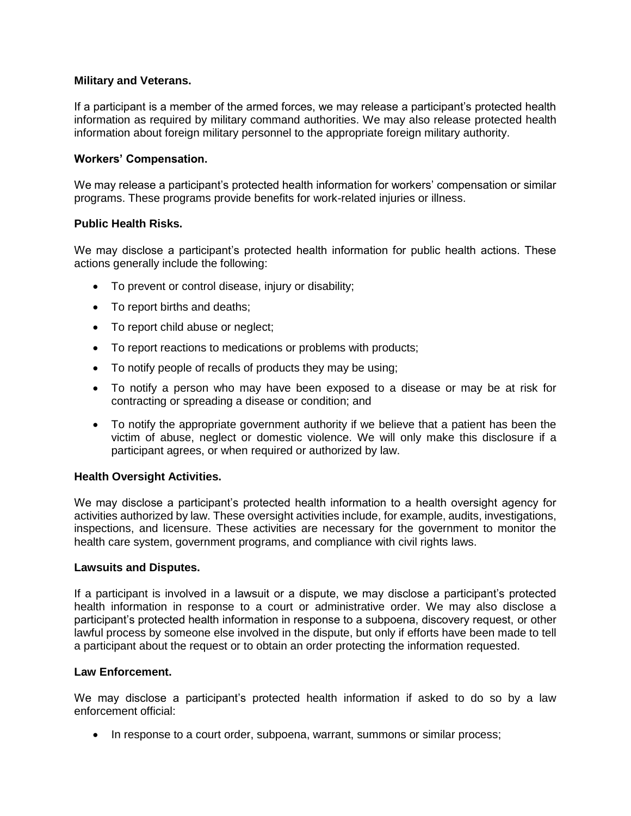# **Military and Veterans.**

If a participant is a member of the armed forces, we may release a participant's protected health information as required by military command authorities. We may also release protected health information about foreign military personnel to the appropriate foreign military authority.

# **Workers' Compensation.**

We may release a participant's protected health information for workers' compensation or similar programs. These programs provide benefits for work-related injuries or illness.

# **Public Health Risks.**

We may disclose a participant's protected health information for public health actions. These actions generally include the following:

- To prevent or control disease, injury or disability;
- To report births and deaths;
- To report child abuse or neglect;
- To report reactions to medications or problems with products;
- To notify people of recalls of products they may be using;
- To notify a person who may have been exposed to a disease or may be at risk for contracting or spreading a disease or condition; and
- To notify the appropriate government authority if we believe that a patient has been the victim of abuse, neglect or domestic violence. We will only make this disclosure if a participant agrees, or when required or authorized by law.

# **Health Oversight Activities.**

We may disclose a participant's protected health information to a health oversight agency for activities authorized by law. These oversight activities include, for example, audits, investigations, inspections, and licensure. These activities are necessary for the government to monitor the health care system, government programs, and compliance with civil rights laws.

### **Lawsuits and Disputes.**

If a participant is involved in a lawsuit or a dispute, we may disclose a participant's protected health information in response to a court or administrative order. We may also disclose a participant's protected health information in response to a subpoena, discovery request, or other lawful process by someone else involved in the dispute, but only if efforts have been made to tell a participant about the request or to obtain an order protecting the information requested.

### **Law Enforcement.**

We may disclose a participant's protected health information if asked to do so by a law enforcement official:

• In response to a court order, subpoena, warrant, summons or similar process;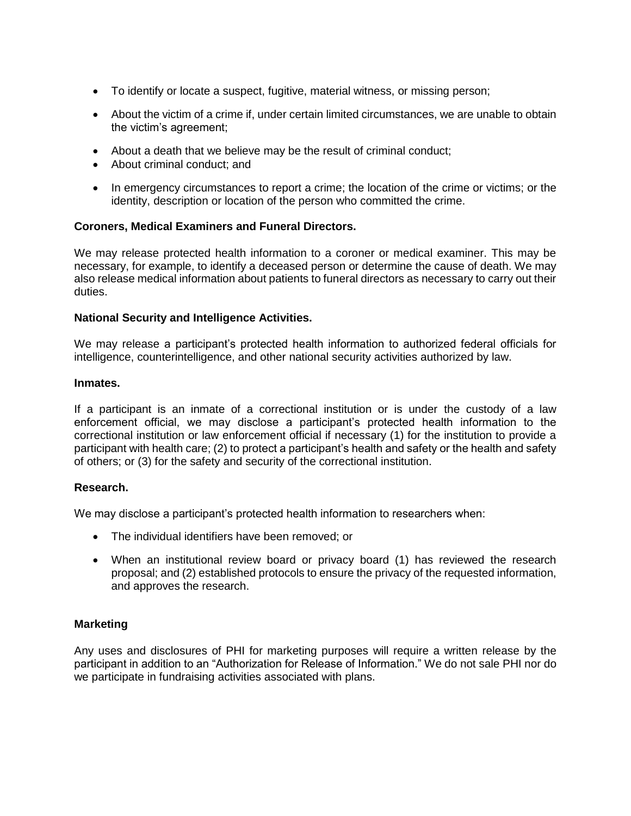- To identify or locate a suspect, fugitive, material witness, or missing person;
- About the victim of a crime if, under certain limited circumstances, we are unable to obtain the victim's agreement;
- About a death that we believe may be the result of criminal conduct;
- About criminal conduct; and
- In emergency circumstances to report a crime; the location of the crime or victims; or the identity, description or location of the person who committed the crime.

# **Coroners, Medical Examiners and Funeral Directors.**

We may release protected health information to a coroner or medical examiner. This may be necessary, for example, to identify a deceased person or determine the cause of death. We may also release medical information about patients to funeral directors as necessary to carry out their duties.

## **National Security and Intelligence Activities.**

We may release a participant's protected health information to authorized federal officials for intelligence, counterintelligence, and other national security activities authorized by law.

### **Inmates.**

If a participant is an inmate of a correctional institution or is under the custody of a law enforcement official, we may disclose a participant's protected health information to the correctional institution or law enforcement official if necessary (1) for the institution to provide a participant with health care; (2) to protect a participant's health and safety or the health and safety of others; or (3) for the safety and security of the correctional institution.

### **Research.**

We may disclose a participant's protected health information to researchers when:

- The individual identifiers have been removed; or
- When an institutional review board or privacy board (1) has reviewed the research proposal; and (2) established protocols to ensure the privacy of the requested information, and approves the research.

# **Marketing**

Any uses and disclosures of PHI for marketing purposes will require a written release by the participant in addition to an "Authorization for Release of Information." We do not sale PHI nor do we participate in fundraising activities associated with plans.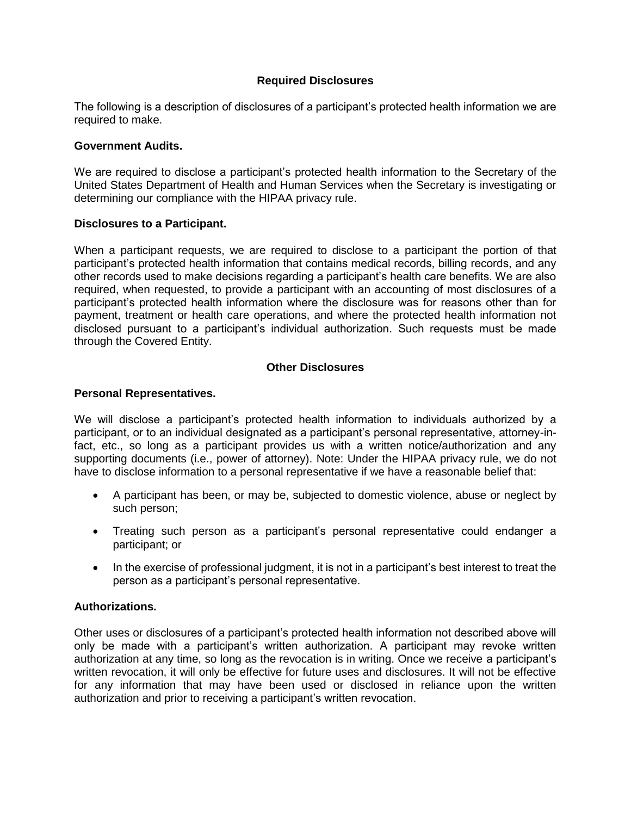# **Required Disclosures**

The following is a description of disclosures of a participant's protected health information we are required to make.

### **Government Audits.**

We are required to disclose a participant's protected health information to the Secretary of the United States Department of Health and Human Services when the Secretary is investigating or determining our compliance with the HIPAA privacy rule.

## **Disclosures to a Participant.**

When a participant requests, we are required to disclose to a participant the portion of that participant's protected health information that contains medical records, billing records, and any other records used to make decisions regarding a participant's health care benefits. We are also required, when requested, to provide a participant with an accounting of most disclosures of a participant's protected health information where the disclosure was for reasons other than for payment, treatment or health care operations, and where the protected health information not disclosed pursuant to a participant's individual authorization. Such requests must be made through the Covered Entity.

## **Other Disclosures**

## **Personal Representatives.**

We will disclose a participant's protected health information to individuals authorized by a participant, or to an individual designated as a participant's personal representative, attorney-infact, etc., so long as a participant provides us with a written notice/authorization and any supporting documents (i.e., power of attorney). Note: Under the HIPAA privacy rule, we do not have to disclose information to a personal representative if we have a reasonable belief that:

- A participant has been, or may be, subjected to domestic violence, abuse or neglect by such person;
- Treating such person as a participant's personal representative could endanger a participant; or
- In the exercise of professional judgment, it is not in a participant's best interest to treat the person as a participant's personal representative.

# **Authorizations.**

Other uses or disclosures of a participant's protected health information not described above will only be made with a participant's written authorization. A participant may revoke written authorization at any time, so long as the revocation is in writing. Once we receive a participant's written revocation, it will only be effective for future uses and disclosures. It will not be effective for any information that may have been used or disclosed in reliance upon the written authorization and prior to receiving a participant's written revocation.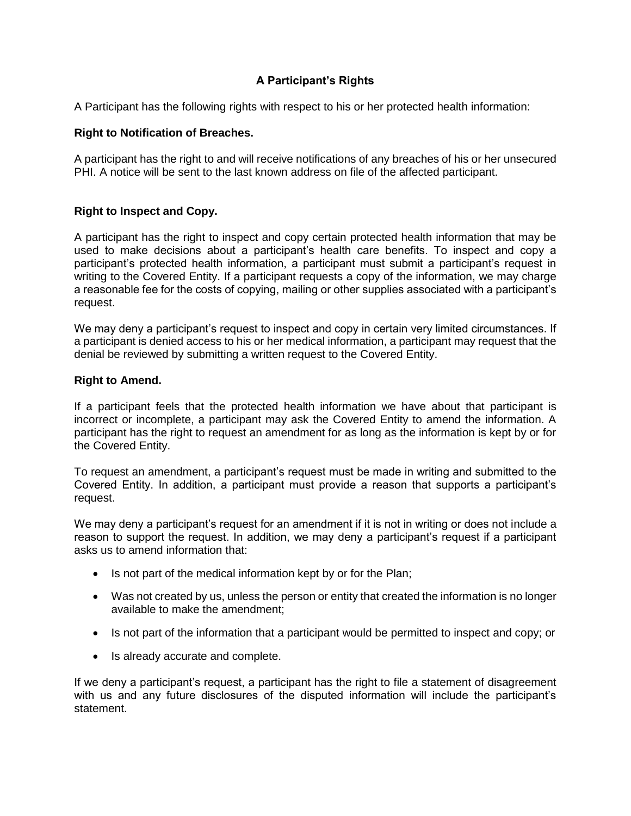# **A Participant's Rights**

A Participant has the following rights with respect to his or her protected health information:

# **Right to Notification of Breaches.**

A participant has the right to and will receive notifications of any breaches of his or her unsecured PHI. A notice will be sent to the last known address on file of the affected participant.

# **Right to Inspect and Copy.**

A participant has the right to inspect and copy certain protected health information that may be used to make decisions about a participant's health care benefits. To inspect and copy a participant's protected health information, a participant must submit a participant's request in writing to the Covered Entity. If a participant requests a copy of the information, we may charge a reasonable fee for the costs of copying, mailing or other supplies associated with a participant's request.

We may deny a participant's request to inspect and copy in certain very limited circumstances. If a participant is denied access to his or her medical information, a participant may request that the denial be reviewed by submitting a written request to the Covered Entity.

# **Right to Amend.**

If a participant feels that the protected health information we have about that participant is incorrect or incomplete, a participant may ask the Covered Entity to amend the information. A participant has the right to request an amendment for as long as the information is kept by or for the Covered Entity.

To request an amendment, a participant's request must be made in writing and submitted to the Covered Entity. In addition, a participant must provide a reason that supports a participant's request.

We may deny a participant's request for an amendment if it is not in writing or does not include a reason to support the request. In addition, we may deny a participant's request if a participant asks us to amend information that:

- Is not part of the medical information kept by or for the Plan;
- Was not created by us, unless the person or entity that created the information is no longer available to make the amendment;
- Is not part of the information that a participant would be permitted to inspect and copy; or
- Is already accurate and complete.

If we deny a participant's request, a participant has the right to file a statement of disagreement with us and any future disclosures of the disputed information will include the participant's statement.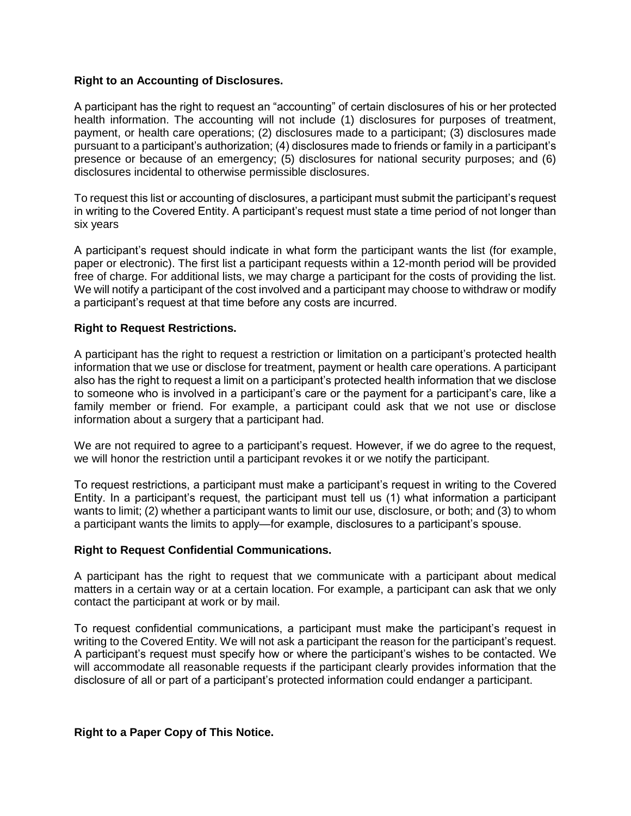## **Right to an Accounting of Disclosures.**

A participant has the right to request an "accounting" of certain disclosures of his or her protected health information. The accounting will not include (1) disclosures for purposes of treatment, payment, or health care operations; (2) disclosures made to a participant; (3) disclosures made pursuant to a participant's authorization; (4) disclosures made to friends or family in a participant's presence or because of an emergency; (5) disclosures for national security purposes; and (6) disclosures incidental to otherwise permissible disclosures.

To request this list or accounting of disclosures, a participant must submit the participant's request in writing to the Covered Entity. A participant's request must state a time period of not longer than six years

A participant's request should indicate in what form the participant wants the list (for example, paper or electronic). The first list a participant requests within a 12-month period will be provided free of charge. For additional lists, we may charge a participant for the costs of providing the list. We will notify a participant of the cost involved and a participant may choose to withdraw or modify a participant's request at that time before any costs are incurred.

## **Right to Request Restrictions.**

A participant has the right to request a restriction or limitation on a participant's protected health information that we use or disclose for treatment, payment or health care operations. A participant also has the right to request a limit on a participant's protected health information that we disclose to someone who is involved in a participant's care or the payment for a participant's care, like a family member or friend. For example, a participant could ask that we not use or disclose information about a surgery that a participant had.

We are not required to agree to a participant's request. However, if we do agree to the request, we will honor the restriction until a participant revokes it or we notify the participant.

To request restrictions, a participant must make a participant's request in writing to the Covered Entity. In a participant's request, the participant must tell us (1) what information a participant wants to limit; (2) whether a participant wants to limit our use, disclosure, or both; and (3) to whom a participant wants the limits to apply—for example, disclosures to a participant's spouse.

### **Right to Request Confidential Communications.**

A participant has the right to request that we communicate with a participant about medical matters in a certain way or at a certain location. For example, a participant can ask that we only contact the participant at work or by mail.

To request confidential communications, a participant must make the participant's request in writing to the Covered Entity. We will not ask a participant the reason for the participant's request. A participant's request must specify how or where the participant's wishes to be contacted. We will accommodate all reasonable requests if the participant clearly provides information that the disclosure of all or part of a participant's protected information could endanger a participant.

### **Right to a Paper Copy of This Notice.**